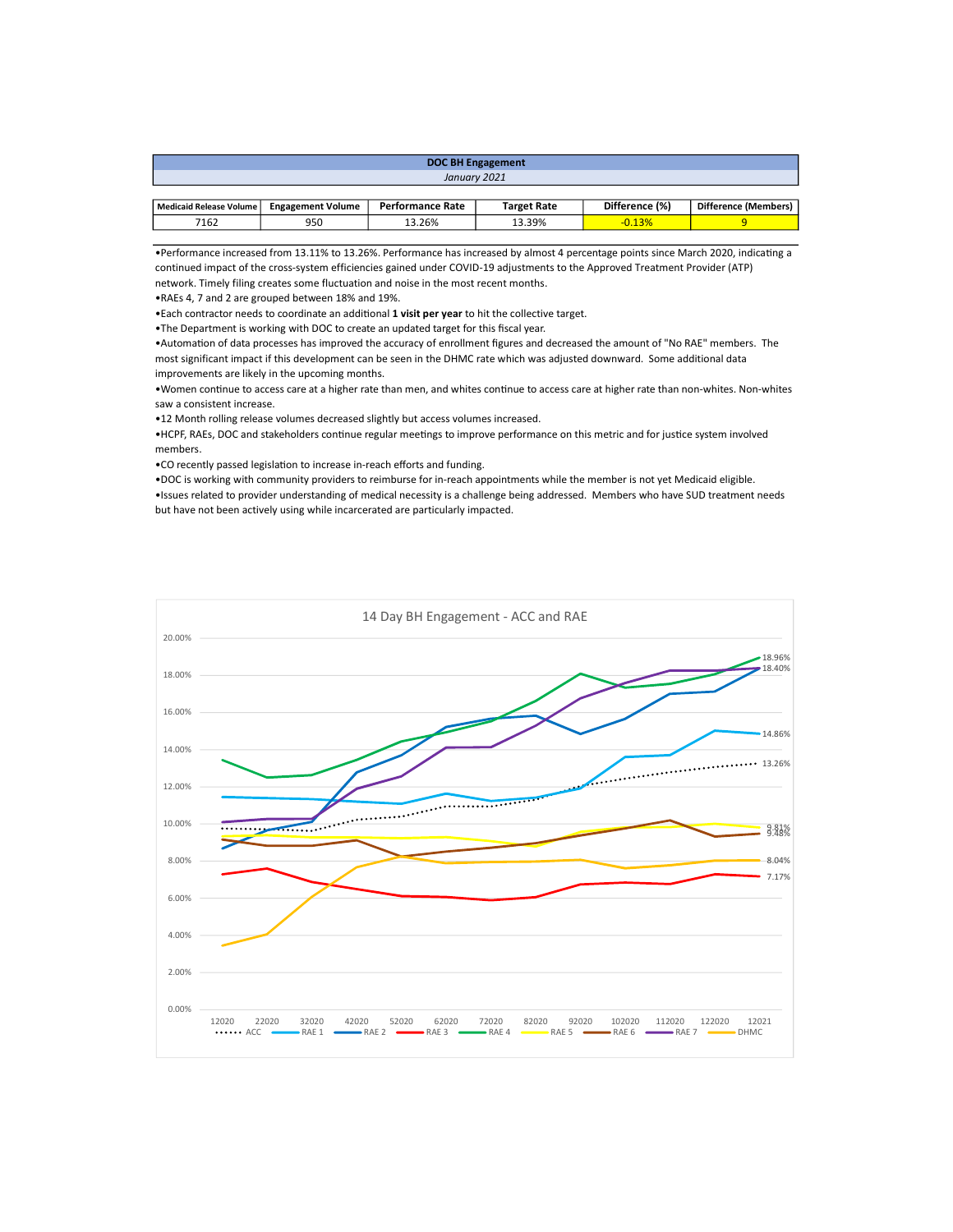| <b>DOC BH Engagement</b> |                          |                         |                    |                |                      |  |  |  |  |
|--------------------------|--------------------------|-------------------------|--------------------|----------------|----------------------|--|--|--|--|
| January 2021             |                          |                         |                    |                |                      |  |  |  |  |
|                          |                          |                         |                    |                |                      |  |  |  |  |
| Medicaid Release Volume  | <b>Engagement Volume</b> | <b>Performance Rate</b> | <b>Target Rate</b> | Difference (%) | Difference (Members) |  |  |  |  |
| 7162                     | 950                      | 13.26%                  | 13.39%             | $-0.13%$       |                      |  |  |  |  |

•Performance increased from 13.11% to 13.26%. Performance has increased by almost 4 percentage points since March 2020, indicating a continued impact of the cross-system efficiencies gained under COVID-19 adjustments to the Approved Treatment Provider (ATP) network. Timely filing creates some fluctuation and noise in the most recent months.

•RAEs 4, 7 and 2 are grouped between 18% and 19%.

•Each contractor needs to coordinate an additional 1 visit per year to hit the collective target.

•The Department is working with DOC to create an updated target for this fiscal year.

•AutomaƟon of data processes has improved the accuracy of enrollment figures and decreased the amount of "No RAE" members. The most significant impact if this development can be seen in the DHMC rate which was adjusted downward. Some additional data improvements are likely in the upcoming months.

•Women continue to access care at a higher rate than men, and whites continue to access care at higher rate than non-whites. Non-whites saw a consistent increase.

•12 Month rolling release volumes decreased slightly but access volumes increased.

•HCPF, RAEs, DOC and stakeholders continue regular meetings to improve performance on this metric and for justice system involved members.

•CO recently passed legislation to increase in-reach efforts and funding.

•DOC is working with community providers to reimburse for in-reach appointments while the member is not yet Medicaid eligible.

•Issues related to provider understanding of medical necessity is a challenge being addressed. Members who have SUD treatment needs but have not been actively using while incarcerated are particularly impacted.